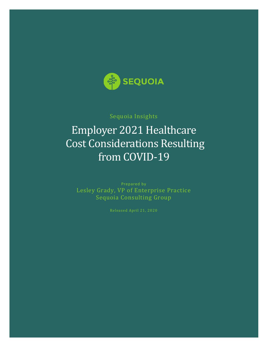

### Sequoia Insights

# Employer 2021 Healthcare Cost Considerations Resulting from COVID-19

Prepared by Lesley Grady, VP of Enterprise Practice Sequoia Consulting Group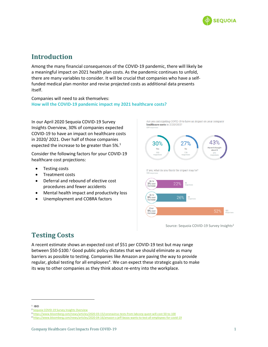

## **Introduction**

Among the many financial consequences of the COVID-19 pandemic, there will likely be a meaningful impact on 2021 health plan costs. As the pandemic continues to unfold, there are many variables to consider. It will be crucial that companies who have a selffunded medical plan monitor and revise projected costs as additional data presents itself.

Companies will need to ask themselves: **How will the COVID-19 pandemic impact my 2021 healthcare costs?** 

In our April 2020 Sequoia COVID-19 Survey Insights Overview, 30% of companies expected COVID-19 to have an impact on healthcare costs in 2020/ 2021. Over half of those companies expected the increase to be greater than 5%.<sup>1</sup>

Consider the following factors for your COVID-19 healthcare cost projections:

- Testing costs
- Treatment costs
- Deferral and rebound of elective cost procedures and fewer accidents
- Mental health impact and productivity loss
- Unemployment and COBRA factors

Are you anticipating COVID-19 to have an impact on your company healthcare costs in 2020/2021?



Source: Sequoia COVID-19 Survey Insights<sup>2</sup>

# **Testing Costs**

A recent estimate shows an expected cost of \$51 per COVID-19 test but may range between \$50-\$100.<sup>3</sup> Good public policy dictates that we should eliminate as many barriers as possible to testing. Companies like Amazon are paving the way to provide regular, global testing for all employees<sup>4</sup>. We can expect these strategic goals to make its way to other companies as they think about re-entry into the workplace.

 $1$  IBID

<sup>&</sup>lt;sup>2</sup> [Sequoia COVID-19 Survey Insights Overview](https://go.sequoia.com/rs/269-ETP-979/images/Sequoia-COVID-19-Survey-Insights.pdf?mkt_tok=eyJpIjoiWkRRMFltSXlaR1k0TnpFMCIsInQiOiJLSDladmNcL0xzRUE5RzBjeW9hbU5lUkM2cVNabk1yeElZQ2xoTlpvd1JkdGtBUjV0ZWQrRjFUd1d4XC9cL2RoNmhmeFQwN2RHcDU0Z0NSXC9tTThNNkZ0VW9BUm5tUzhwckdxNk9EaFA4VGFZSTRRcmZEdHR5ZDZ5MHArSmRkNHpXZ0sifQ%3D%3D)

<sup>3</sup> <https://www.bloomberg.com/news/articles/2020-03-15/coronavirus-tests-from-labcorp-quest-will-cost-50-to-100>

<sup>4</sup> <https://www.bloomberg.com/news/articles/2020-04-16/amazon-s-jeff-bezos-wants-to-test-all-employees-for-covid-19>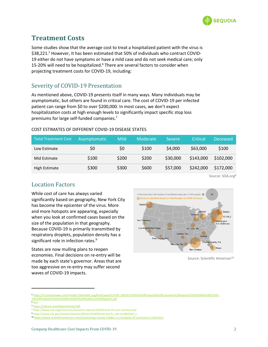

# **Treatment Costs**

Some studies show that the average cost to treat a hospitalized patient with the virus is \$38,221.<sup>5</sup> However, It has been estimated that 50% of individuals who contract COVID-19 either do not have symptoms or have a mild case and do not seek medical care; only 15-20% will need to be hospitalized.<sup>6</sup> There are several factors to consider when projecting treatment costs for COVID-19, including:

### Severity of COVID-19 Presentation

As mentioned above, COVID-19 presents itself in many ways. Many individuals may be asymptomatic, but others are found in critical care. The cost of COVID-19 per infected patient can range from \$0 to over \$200,000. In most cases, we don't expect hospitalization costs at high enough levels to significantly impact specific stop loss premiums for large self-funded companies.<sup>7</sup>

#### COST ESTIMATES OF DIFFERENT COVID-19 DISEASE STATES

| <b>Total Treatment Cost</b> | Asymptomatic | Mild  | Moderate | <b>Severe</b> | Critical  | Deceased  |
|-----------------------------|--------------|-------|----------|---------------|-----------|-----------|
| Low Estimate                | \$0          | \$0   | \$100    | \$4,000       | \$63,000  | \$100     |
| Mid Estimate                | \$100        | \$200 | \$200    | \$30,000      | \$143,000 | \$102,000 |
| High Estimate               | \$300        | \$300 | \$600    | \$57,000      | \$242,000 | \$172,000 |

Source: SOA.org<sup>8</sup>

### Location Factors

While cost of care has always varied significantly based on geography, New York City has become the epicenter of the virus. More and more hotspots are appearing, especially when you look at confirmed cases based on the size of the population in that geography. Because COVID-19 is primarily transmitted by respiratory droplets, population density has a significant role in infection rates. 9

States are now mulling plans to reopen economies. Final decisions on re-entry will be made by each state's governor. Areas that are too aggressive on re-entry may suffer second waves of COVID-19 impacts.



Source: Scientific American<sup>10</sup>

<sup>5</sup> [https://s3.amazonaws.com/media2.fairhealth.org/brief/asset/COVID-19%20-%20The%20Projected%20Economic%20Impact%20of%20the%20COVID-](https://s3.amazonaws.com/media2.fairhealth.org/brief/asset/COVID-19%20-%20The%20Projected%20Economic%20Impact%20of%20the%20COVID-19%20Pandemic%20on%20the%20US%20Healthcare%20System.pdf)[19%20Pandemic%20on%20the%20US%20Healthcare%20System.pdf](https://s3.amazonaws.com/media2.fairhealth.org/brief/asset/COVID-19%20-%20The%20Projected%20Economic%20Impact%20of%20the%20COVID-19%20Pandemic%20on%20the%20US%20Healthcare%20System.pdf)

<sup>6</sup> ibid

<sup>7</sup> <https://nyhart.com/News/Article/164>

<sup>8</sup> https://www.soa.org/resources/research-reports/2020/covid-19-cost-commercial/

<sup>9</sup> https://www.cdc.gov/mmwr/volumes/69/wr/mm6915e4.htm?s\_cid=mm6915e4\_x

<sup>10</sup> <https://www.scientificamerican.com/article/map-reveals-hidden-u-s-hotspots-of-coronavirus-infection/>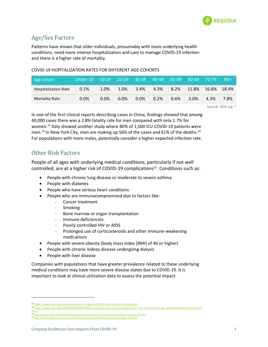

### Age/Sex Factors

Patterns have shown that older individuals, presumably with more underlying health conditions, need more intense hospitalization and care to manage COVID-19 infection and there is a higher rate of mortality.

#### COVID-19 HOPITALIZATION RATES FOR DIFFERENT AGE COHORTS

| Age Cohort                  | Under 10  10-19  20-29  30-39  40-49  50-59 |         |         |         |         |      | $60-69$ | .70-79 | $80+$ |
|-----------------------------|---------------------------------------------|---------|---------|---------|---------|------|---------|--------|-------|
| <b>Hospitalization Rate</b> | 0.1%                                        | 1.0%    | 1.0%    | $3.4\%$ | 4.3%    | 8.2% | 11.8%   | 16.6%  | 18.4% |
| <b>Mortality Rate</b>       | 0.0%                                        | $0.0\%$ | $0.0\%$ | $0.0\%$ | $0.2\%$ | 0.6% | 2.0%    | 4.3%   | 7.8%  |

Source: SOA.org 11

In one of the first clinical reports describing cases in China, findings showed that among 40,000 cases there was a 2.8% fatality rate for men compared with only 1.7% for women.<sup>12</sup> Italy showed another study where 80% of 1,500 ICU COVID-19 patients were men.<sup>13</sup> In New York City, men are making up 56% of the cases and 61% of the deaths.<sup>14</sup> For populations with more males, potentially consider a higher expected infection rate.

### Other Risk Factors

People of all ages with underlying medical conditions, particularly if not well controlled, are at a higher risk of COVID-19 complications<sup>15</sup>. Conditions such as:

- People with chronic lung disease or moderate to severe asthma
- People with diabetes
- People who have serious heart conditions
- People who are immunocompromised due to factors like:
	- Cancer treatment
	- **Smoking**
	- Bone marrow or organ transplantation
	- Immune deficiencies
	- Poorly controlled HIV or AIDS
	- Prolonged use of corticosteroids and other immune-weakening medications
- People with severe obesity (body mass index [BMI] of 40 or higher)
- People with chronic kidney disease undergoing dialysis
- People with liver disease

Companies with populations that have greater prevalence related to these underlying medical conditions may have more severe disease states due to COVID-19. It is important to look at clinical utilization data to assess the potential impact.

<sup>11</sup> <https://www.soa.org/resources/research-reports/2020/covid-19-cost-commercial/>

<sup>12</sup> <https://www.npr.org/2020/04/08/830205897/scientists-want-to-know-why-more-men-than-women-are-apparently-dying-of-covid-19>  $13$  Ibid

<sup>14</sup> <https://www.cnbc.com/2020/03/25/almost-half-new-york-citys-coronavirus-patients-are-under-45.html>

<sup>15</sup> <https://www.cdc.gov/coronavirus/2019-ncov/need-extra-precautions/groups-at-higher-risk.html>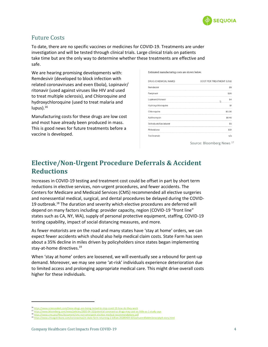

### Future Costs

To date, there are no specific vaccines or medicines for COVID-19. Treatments are under investigation and will be tested through clinical trials. Large clinical trials on patients take time but are the only way to determine whether these treatments are effective and safe.

We are hearing promising developments with: Remdesivir (developed to block infection with related coronaviruses and even Ebola), Lopinavir/ ritonavir (used against viruses like HIV and used to treat multiple sclerosis), and Chloroquine and hydroxychloroquine (used to treat malaria and lupus).<sup>16</sup>

Manufacturing costs for these drugs are low cost and most have already been produced in mass. This is good news for future treatments before a vaccine is developed.

Estimated manufacturing costs are shown below.

| DRUG (CHEMICAL NAME)   | COST PER TREATMENT (US\$) |  |  |  |
|------------------------|---------------------------|--|--|--|
| Remdesivir             | \$9                       |  |  |  |
| Favipiravir            | \$20                      |  |  |  |
| Lopinavir/ritonavir    | \$4                       |  |  |  |
| Hydroxychloroquine     | \$1                       |  |  |  |
| Chloroquine            | \$0.30                    |  |  |  |
| Azithromycin           | \$1.40                    |  |  |  |
| Sofosbuvir/daclatasvir | \$5                       |  |  |  |
| Pirfenidone            | \$31                      |  |  |  |
| Tocilizumab            | n/a                       |  |  |  |

Source: Bloomberg News <sup>17</sup>

# **Elective/Non-Urgent Procedure Deferrals & Accident Reductions**

Increases in COVID-19 testing and treatment cost could be offset in part by short term reductions in elective services, non-urgent procedures, and fewer accidents. The Centers for Medicare and Medicaid Services (CMS) recommended all elective surgeries and nonessential medical, surgical, and dental procedures be delayed during the COVID-19 outbreak.<sup>18</sup> The duration and severity which elective procedures are deferred will depend on many factors including: provider capacity, region (COVID-19 "front line" states such as CA, NY, WA), supply of personal protective equipment, staffing, COVID-19 testing capability, impact of social distancing measures, and more.

As fewer motorists are on the road and many states have 'stay at home' orders, we can expect fewer accidents which should also help medical claim costs. State Farm has seen about a 35% decline in miles driven by policyholders since states began implementing stay-at-home directives.<sup>19</sup>

When 'stay at home' orders are loosened, we will eventually see a rebound for pent-up demand. Moreover, we may see some 'at-risk' individuals experience deterioration due to limited access and prolonging appropriate medical care. This might drive overall costs higher for these individuals.

<sup>16</sup> <https://www.sciencealert.com/these-drugs-are-being-tested-to-stop-covid-19-how-do-they-work>

<sup>17</sup> <https://www.bloomberg.com/news/articles/2020-04-10/potential-coronavirus-drugs-may-cost-as-little-as-1-study-says> 18 <https://www.cms.gov/files/document/cms-non-emergent-elective-medical-recommendations.pdf>

<sup>19</sup> <https://www.chicagotribune.com/coronavirus/ct-state-farm-returning-2-billion-20200409-635ovhuenrd5ddrn3zraciykp4-story.html>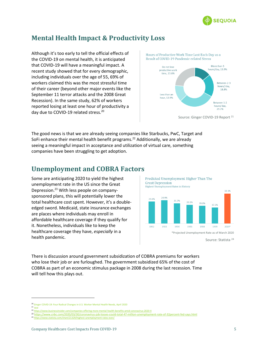

# **Mental Health Impact & Productivity Loss**

Although it's too early to tell the official effects of the COVID-19 on mental health, it is anticipated that COVID-19 will have a meaningful impact. A recent study showed that for every demographic, including individuals over the age of 55, 69% of workers claimed this was the most stressful time of their career (beyond other major events like the September 11 terror attacks and the 2008 Great Recession). In the same study, 62% of workers reported losing at least one hour of productivity a day due to COVID-19 related stress.<sup>20</sup>



The good news is that we are already seeing companies like Starbucks, PwC, Target and SoFi enhance their mental health benefit programs.<sup>22</sup> Additionally, we are already seeing a meaningful impact in acceptance and utilization of virtual care, something companies have been struggling to get adoption.

# **Unemployment and COBRA Factors**

Some are anticipating 2020 to yield the highest unemployment rate in the US since the Great Depression.<sup>23</sup> With less people on companysponsored plans, this will potentially lower the total healthcare cost spent. However, it's a doubleedged sword. Medicaid, state insurance exchanges are places where individuals may enroll in affordable healthcare coverage if they qualify for it. Nonetheless, individuals like to keep the healthcare coverage they have, *especially* in a health pandemic.



There is discussion around government subsidization of COBRA premiums for workers who lose their job or are furloughed. The government subsidized 65% of the cost of COBRA as part of an economic stimulus package in 2008 during the last recession. Time will tell how this plays out.

<sup>20</sup> Ginger COVID-19: Four Radical Changes in U.S. Worker Mental Health Needs, April 2020

 $21$  ibid

<sup>22</sup> <https://www.businessinsider.com/companies-offering-more-mental-health-benefits-amid-coronavirus-2020-4> <sup>23</sup> <https://www.cnbc.com/2020/03/30/coronavirus-job-losses-could-total-47-million-unemployment-rate-of-32percent-fed-says.html>

<sup>24</sup> <https://www.statista.com/chart/21329/highest-unemployment-rates-ever/>